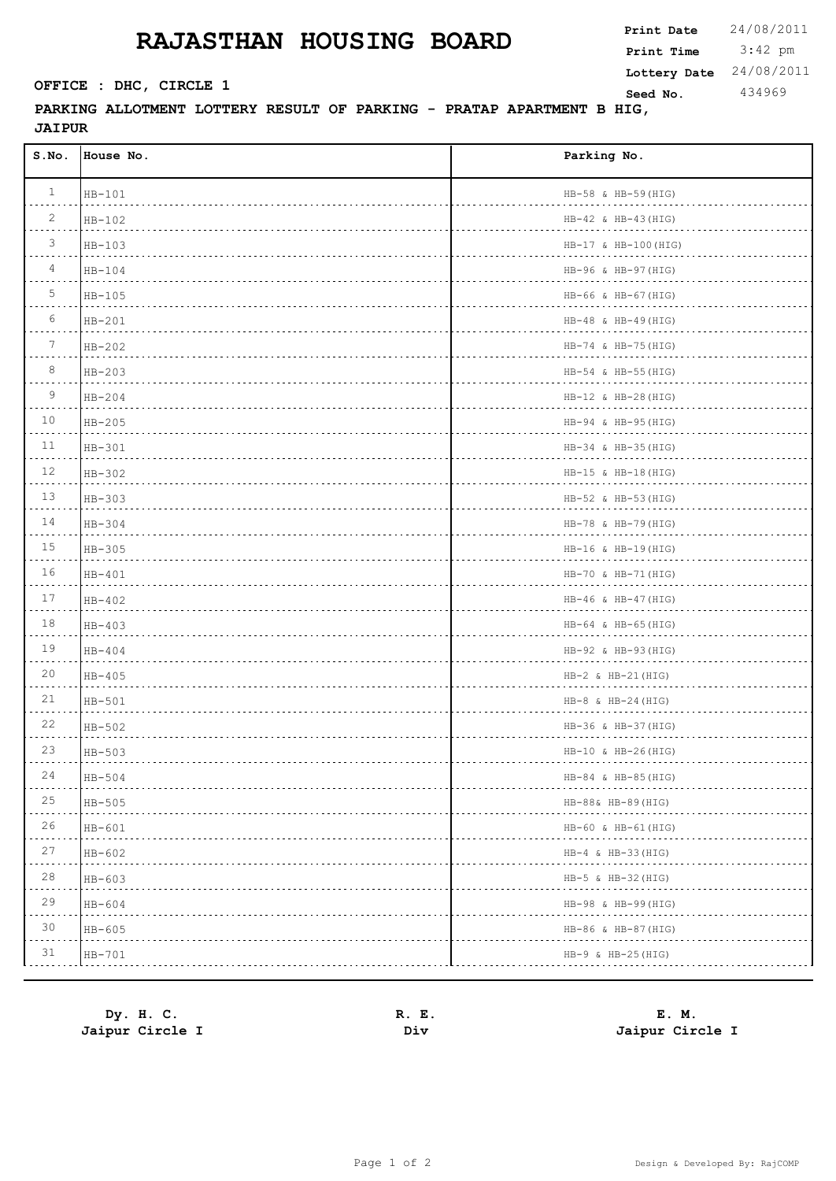## **RAJASTHAN HOUSING BOARD**

 $\Gamma$ 

**PARKING ALLOTMENT LOTTERY RESULT OF PARKING - PRATAP APARTMENT B HIG, JAIPUR**

| S.NO.           | House No. | Parking No.                  |
|-----------------|-----------|------------------------------|
| $\mathbf{1}$    | $HB-101$  | HB-58 & HB-59(HIG)           |
| $\overline{c}$  | $HB-102$  | $HB-42$ & $HB-43$ (HIG)<br>. |
| 3               | $HB-103$  | $HB-17$ & $HB-100$ (HIG)     |
| $\overline{4}$  | $HB-104$  | HB-96 & HB-97 (HIG)<br>.     |
| 5               | $HB-105$  | HB-66 & HB-67 (HIG)          |
| 6               | $HB-201$  | $HB-48$ & $HB-49$ (HIG)      |
| $7\phantom{.0}$ | $HB-202$  | HB-74 & HB-75(HIG)           |
| 8               | HB-203    | HB-54 & HB-55(HIG)           |
| 9               | $HB-204$  | $HB-12$ & $HB-28$ (HIG)<br>. |
| 10              | $HB-205$  | HB-94 & HB-95(HIG)<br>.      |
| 11              | $HB-301$  | HB-34 & HB-35 (HIG)<br>.     |
| 12              | $HB-302$  | $HB-15$ & $HB-18$ (HIG)<br>. |
| 13              | $HB-303$  | HB-52 & HB-53 (HIG)          |
| 14              | $HB-304$  | HB-78 & HB-79(HIG)<br>.      |
| 15              | $HB-305$  | $HB-16$ & $HB-19$ (HIG)      |
| 16              | $HB-401$  | HB-70 & HB-71 (HIG)          |
| 17              | $HB-402$  | $HB-46$ & $HB-47$ (HIG)      |
| 18              | HB-403    | $HB-64$ & $HB-65$ (HIG)      |
| 19              | $HB-404$  | HB-92 & HB-93 (HIG)          |
| 20              | $HB-405$  | $HB-2$ & $HB-21$ (HIG)       |
| 21              | $HB-501$  | $HB-8$ & $HB-24$ (HIG)       |
| 22              | HB-502    | HB-36 & HB-37 (HIG)          |
| 23              | $HB-503$  | $HB-10$ & $HB-26(HIG)$       |
| 24<br>.         | HB-504    | $HB-84 \& HB-85(HIG)$        |
| 25              | $HB-505$  | HB-88& HB-89(HIG)            |
| 26              | $HB-601$  | HB-60 & HB-61 (HIG)          |
| 27              | $HB-602$  | $HB-4 \& HB-33(HIG)$         |
| $2\,8$          | $HB-603$  | HB-5 & HB-32 (HIG)           |
| 29              | $HB-604$  | HB-98 & HB-99(HIG)           |
| 30              | $HB-605$  | HB-86 & HB-87 (HIG)          |
| 31              | $HB-701$  | $HB-9$ & $HB-25(HIG)$        |

 $\overline{\phantom{a}}$